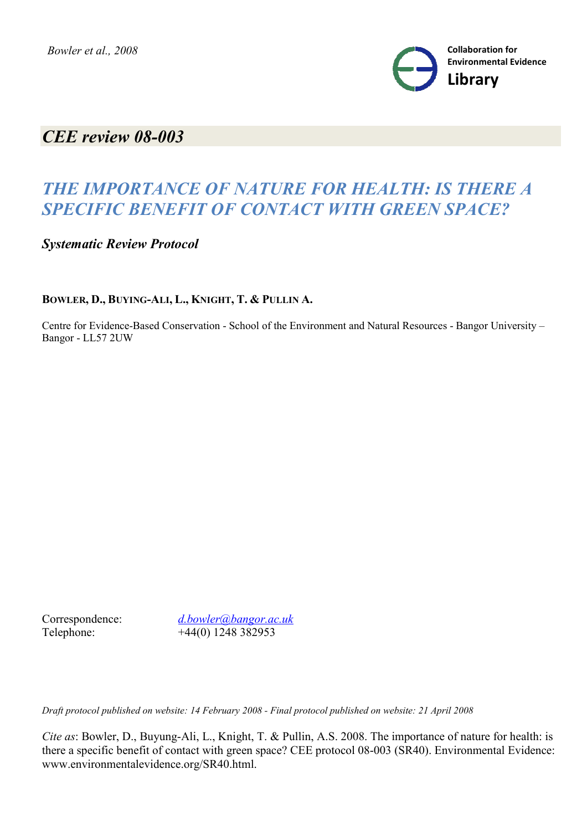

## *CEE review 08-003*

# *THE IMPORTANCE OF NATURE FOR HEALTH: IS THERE A SPECIFIC BENEFIT OF CONTACT WITH GREEN SPACE?*

*Systematic Review Protocol*

### **BOWLER, D., BUYING-ALI, L., KNIGHT, T. & PULLIN A.**

Centre for Evidence-Based Conservation - School of the Environment and Natural Resources - Bangor University – Bangor - LL57 2UW

Correspondence: *d.bowler@bangor.ac.uk* Telephone: +44(0) 1248 382953

*Draft protocol published on website: 14 February 2008 - Final protocol published on website: 21 April 2008*

*Cite as*: Bowler, D., Buyung-Ali, L., Knight, T. & Pullin, A.S. 2008. The importance of nature for health: is there a specific benefit of contact with green space? CEE protocol 08-003 (SR40). Environmental Evidence: www.environmentalevidence.org/SR40.html.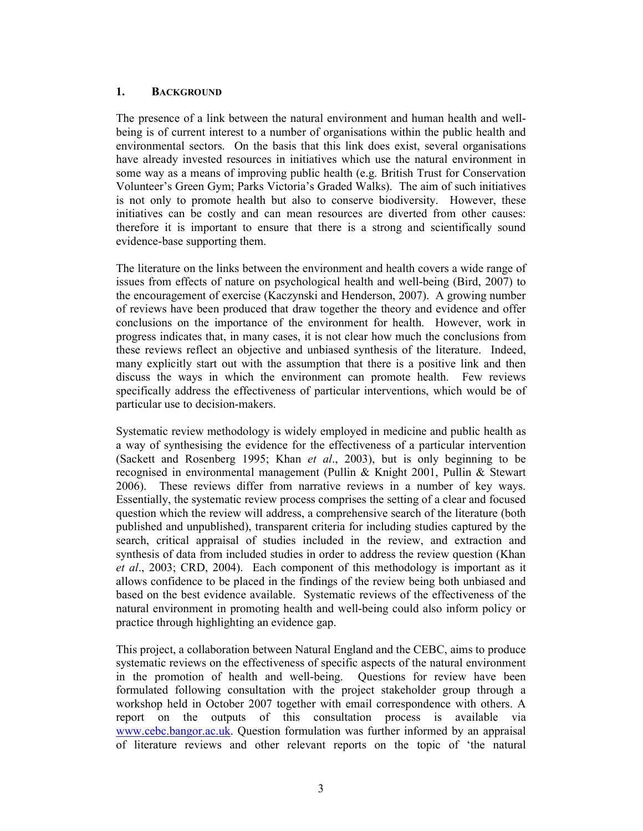#### 1. BACKGROUND

The presence of a link between the natural environment and human health and wellbeing is of current interest to a number of organisations within the public health and environmental sectors. On the basis that this link does exist, several organisations have already invested resources in initiatives which use the natural environment in some way as a means of improving public health (e.g. British Trust for Conservation Volunteer's Green Gym; Parks Victoria's Graded Walks). The aim of such initiatives is not only to promote health but also to conserve biodiversity. However, these initiatives can be costly and can mean resources are diverted from other causes: therefore it is important to ensure that there is a strong and scientifically sound evidence-base supporting them.

The literature on the links between the environment and health covers a wide range of issues from effects of nature on psychological health and well-being (Bird, 2007) to the encouragement of exercise (Kaczynski and Henderson, 2007). A growing number of reviews have been produced that draw together the theory and evidence and offer conclusions on the importance of the environment for health. However, work in progress indicates that, in many cases, it is not clear how much the conclusions from these reviews reflect an objective and unbiased synthesis of the literature. Indeed, many explicitly start out with the assumption that there is a positive link and then discuss the ways in which the environment can promote health. Few reviews specifically address the effectiveness of particular interventions, which would be of particular use to decision-makers.

Systematic review methodology is widely employed in medicine and public health as a way of synthesising the evidence for the effectiveness of a particular intervention (Sackett and Rosenberg 1995; Khan et al., 2003), but is only beginning to be recognised in environmental management (Pullin & Knight 2001, Pullin & Stewart 2006). These reviews differ from narrative reviews in a number of key ways. Essentially, the systematic review process comprises the setting of a clear and focused question which the review will address, a comprehensive search of the literature (both published and unpublished), transparent criteria for including studies captured by the search, critical appraisal of studies included in the review, and extraction and synthesis of data from included studies in order to address the review question (Khan et al., 2003; CRD, 2004). Each component of this methodology is important as it allows confidence to be placed in the findings of the review being both unbiased and based on the best evidence available. Systematic reviews of the effectiveness of the natural environment in promoting health and well-being could also inform policy or practice through highlighting an evidence gap.

This project, a collaboration between Natural England and the CEBC, aims to produce systematic reviews on the effectiveness of specific aspects of the natural environment in the promotion of health and well-being. Questions for review have been formulated following consultation with the project stakeholder group through a workshop held in October 2007 together with email correspondence with others. A report on the outputs of this consultation process is available via www.cebc.bangor.ac.uk. Question formulation was further informed by an appraisal of literature reviews and other relevant reports on the topic of 'the natural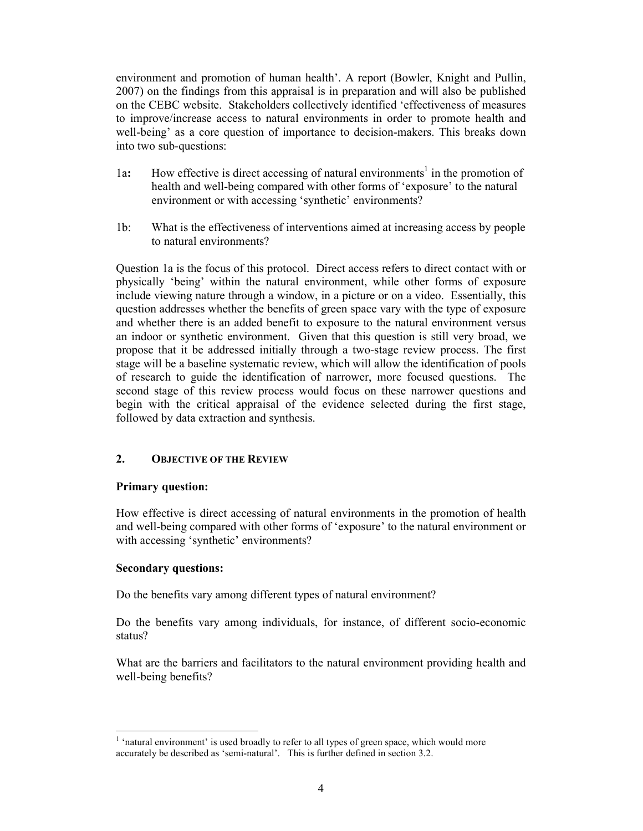environment and promotion of human health'. A report (Bowler, Knight and Pullin, 2007) on the findings from this appraisal is in preparation and will also be published on the CEBC website. Stakeholders collectively identified 'effectiveness of measures to improve/increase access to natural environments in order to promote health and well-being' as a core question of importance to decision-makers. This breaks down into two sub-questions:

- 1a: How effective is direct accessing of natural environments<sup>1</sup> in the promotion of health and well-being compared with other forms of 'exposure' to the natural environment or with accessing 'synthetic' environments?
- 1b: What is the effectiveness of interventions aimed at increasing access by people to natural environments?

Question 1a is the focus of this protocol. Direct access refers to direct contact with or physically 'being' within the natural environment, while other forms of exposure include viewing nature through a window, in a picture or on a video. Essentially, this question addresses whether the benefits of green space vary with the type of exposure and whether there is an added benefit to exposure to the natural environment versus an indoor or synthetic environment. Given that this question is still very broad, we propose that it be addressed initially through a two-stage review process. The first stage will be a baseline systematic review, which will allow the identification of pools of research to guide the identification of narrower, more focused questions. The second stage of this review process would focus on these narrower questions and begin with the critical appraisal of the evidence selected during the first stage, followed by data extraction and synthesis.

#### 2. OBJECTIVE OF THE REVIEW

#### Primary question:

How effective is direct accessing of natural environments in the promotion of health and well-being compared with other forms of 'exposure' to the natural environment or with accessing 'synthetic' environments?

#### Secondary questions:

Do the benefits vary among different types of natural environment?

Do the benefits vary among individuals, for instance, of different socio-economic status?

What are the barriers and facilitators to the natural environment providing health and well-being benefits?

 1 'natural environment' is used broadly to refer to all types of green space, which would more accurately be described as 'semi-natural'. This is further defined in section 3.2.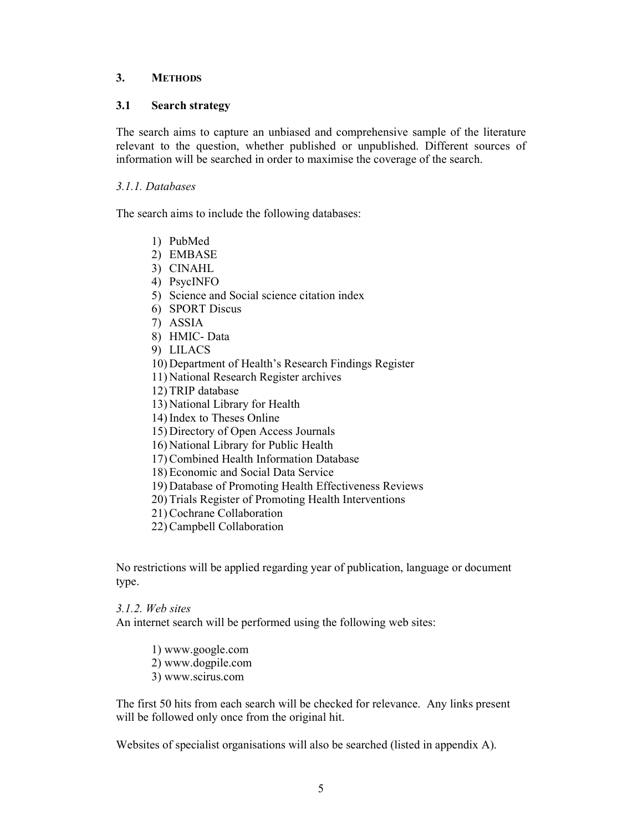#### 3. METHODS

#### 3.1 Search strategy

The search aims to capture an unbiased and comprehensive sample of the literature relevant to the question, whether published or unpublished. Different sources of information will be searched in order to maximise the coverage of the search.

#### 3.1.1. Databases

The search aims to include the following databases:

- 1) PubMed
- 2) EMBASE
- 3) CINAHL
- 4) PsycINFO
- 5) Science and Social science citation index
- 6) SPORT Discus
- 7) ASSIA
- 8) HMIC- Data
- 9) LILACS
- 10) Department of Health's Research Findings Register
- 11) National Research Register archives
- 12) TRIP database
- 13) National Library for Health
- 14) Index to Theses Online
- 15) Directory of Open Access Journals
- 16) National Library for Public Health
- 17) Combined Health Information Database
- 18) Economic and Social Data Service
- 19) Database of Promoting Health Effectiveness Reviews
- 20) Trials Register of Promoting Health Interventions
- 21) Cochrane Collaboration
- 22) Campbell Collaboration

No restrictions will be applied regarding year of publication, language or document type.

3.1.2. Web sites

An internet search will be performed using the following web sites:

- 1) www.google.com
- 2) www.dogpile.com
- 3) www.scirus.com

The first 50 hits from each search will be checked for relevance. Any links present will be followed only once from the original hit.

Websites of specialist organisations will also be searched (listed in appendix A).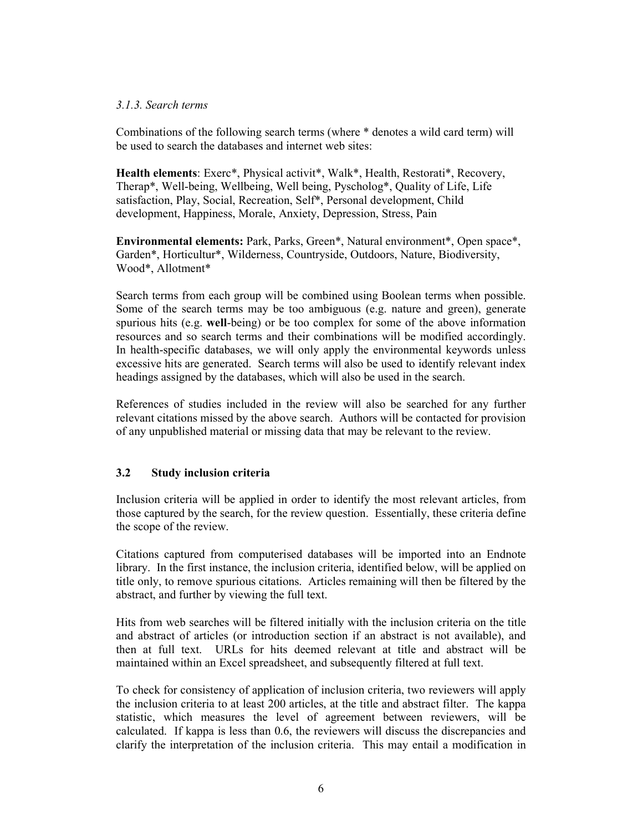#### 3.1.3. Search terms

Combinations of the following search terms (where \* denotes a wild card term) will be used to search the databases and internet web sites:

Health elements: Exerc\*, Physical activit\*, Walk\*, Health, Restorati\*, Recovery, Therap\*, Well-being, Wellbeing, Well being, Pyscholog\*, Quality of Life, Life satisfaction, Play, Social, Recreation, Self\*, Personal development, Child development, Happiness, Morale, Anxiety, Depression, Stress, Pain

Environmental elements: Park, Parks, Green\*, Natural environment\*, Open space\*, Garden\*, Horticultur\*, Wilderness, Countryside, Outdoors, Nature, Biodiversity, Wood\*, Allotment\*

Search terms from each group will be combined using Boolean terms when possible. Some of the search terms may be too ambiguous (e.g. nature and green), generate spurious hits (e.g. well-being) or be too complex for some of the above information resources and so search terms and their combinations will be modified accordingly. In health-specific databases, we will only apply the environmental keywords unless excessive hits are generated. Search terms will also be used to identify relevant index headings assigned by the databases, which will also be used in the search.

References of studies included in the review will also be searched for any further relevant citations missed by the above search. Authors will be contacted for provision of any unpublished material or missing data that may be relevant to the review.

#### 3.2 Study inclusion criteria

Inclusion criteria will be applied in order to identify the most relevant articles, from those captured by the search, for the review question. Essentially, these criteria define the scope of the review.

Citations captured from computerised databases will be imported into an Endnote library. In the first instance, the inclusion criteria, identified below, will be applied on title only, to remove spurious citations. Articles remaining will then be filtered by the abstract, and further by viewing the full text.

Hits from web searches will be filtered initially with the inclusion criteria on the title and abstract of articles (or introduction section if an abstract is not available), and then at full text. URLs for hits deemed relevant at title and abstract will be maintained within an Excel spreadsheet, and subsequently filtered at full text.

To check for consistency of application of inclusion criteria, two reviewers will apply the inclusion criteria to at least 200 articles, at the title and abstract filter. The kappa statistic, which measures the level of agreement between reviewers, will be calculated. If kappa is less than 0.6, the reviewers will discuss the discrepancies and clarify the interpretation of the inclusion criteria. This may entail a modification in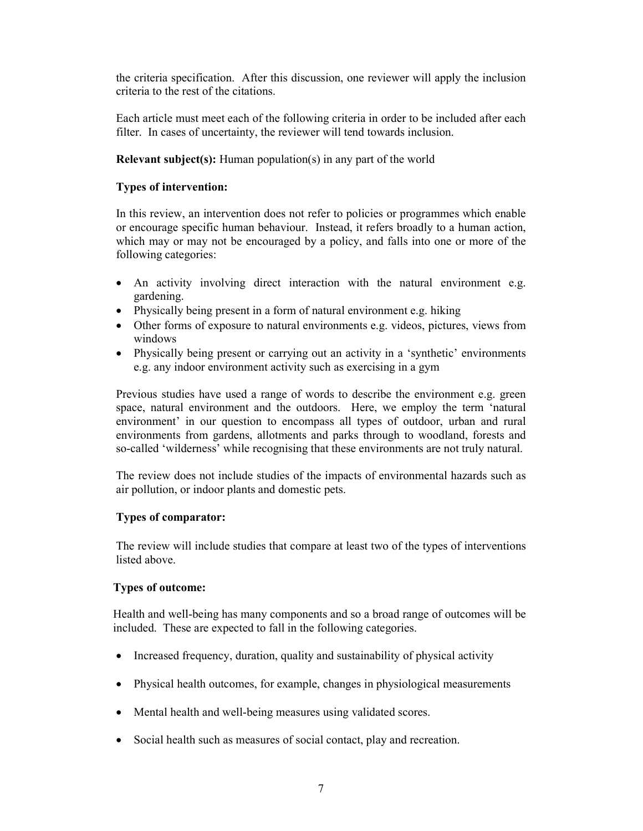the criteria specification. After this discussion, one reviewer will apply the inclusion criteria to the rest of the citations.

Each article must meet each of the following criteria in order to be included after each filter. In cases of uncertainty, the reviewer will tend towards inclusion.

#### Relevant subject(s): Human population(s) in any part of the world

#### Types of intervention:

In this review, an intervention does not refer to policies or programmes which enable or encourage specific human behaviour. Instead, it refers broadly to a human action, which may or may not be encouraged by a policy, and falls into one or more of the following categories:

- An activity involving direct interaction with the natural environment e.g. gardening.
- Physically being present in a form of natural environment e.g. hiking
- Other forms of exposure to natural environments e.g. videos, pictures, views from windows
- Physically being present or carrying out an activity in a 'synthetic' environments e.g. any indoor environment activity such as exercising in a gym

Previous studies have used a range of words to describe the environment e.g. green space, natural environment and the outdoors. Here, we employ the term 'natural environment' in our question to encompass all types of outdoor, urban and rural environments from gardens, allotments and parks through to woodland, forests and so-called 'wilderness' while recognising that these environments are not truly natural.

The review does not include studies of the impacts of environmental hazards such as air pollution, or indoor plants and domestic pets.

#### Types of comparator:

The review will include studies that compare at least two of the types of interventions listed above.

#### Types of outcome:

Health and well-being has many components and so a broad range of outcomes will be included. These are expected to fall in the following categories.

- Increased frequency, duration, quality and sustainability of physical activity
- Physical health outcomes, for example, changes in physiological measurements
- Mental health and well-being measures using validated scores.
- Social health such as measures of social contact, play and recreation.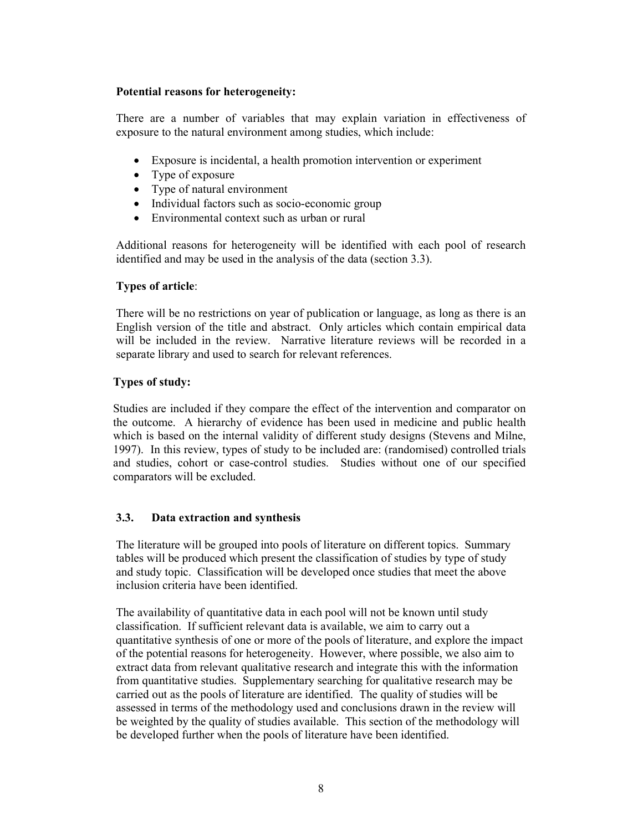#### Potential reasons for heterogeneity:

There are a number of variables that may explain variation in effectiveness of exposure to the natural environment among studies, which include:

- Exposure is incidental, a health promotion intervention or experiment
- Type of exposure
- Type of natural environment
- Individual factors such as socio-economic group
- Environmental context such as urban or rural

Additional reasons for heterogeneity will be identified with each pool of research identified and may be used in the analysis of the data (section 3.3).

#### Types of article:

There will be no restrictions on year of publication or language, as long as there is an English version of the title and abstract. Only articles which contain empirical data will be included in the review. Narrative literature reviews will be recorded in a separate library and used to search for relevant references.

#### Types of study:

Studies are included if they compare the effect of the intervention and comparator on the outcome. A hierarchy of evidence has been used in medicine and public health which is based on the internal validity of different study designs (Stevens and Milne, 1997). In this review, types of study to be included are: (randomised) controlled trials and studies, cohort or case-control studies. Studies without one of our specified comparators will be excluded.

#### 3.3. Data extraction and synthesis

The literature will be grouped into pools of literature on different topics. Summary tables will be produced which present the classification of studies by type of study and study topic. Classification will be developed once studies that meet the above inclusion criteria have been identified.

The availability of quantitative data in each pool will not be known until study classification. If sufficient relevant data is available, we aim to carry out a quantitative synthesis of one or more of the pools of literature, and explore the impact of the potential reasons for heterogeneity. However, where possible, we also aim to extract data from relevant qualitative research and integrate this with the information from quantitative studies. Supplementary searching for qualitative research may be carried out as the pools of literature are identified. The quality of studies will be assessed in terms of the methodology used and conclusions drawn in the review will be weighted by the quality of studies available. This section of the methodology will be developed further when the pools of literature have been identified.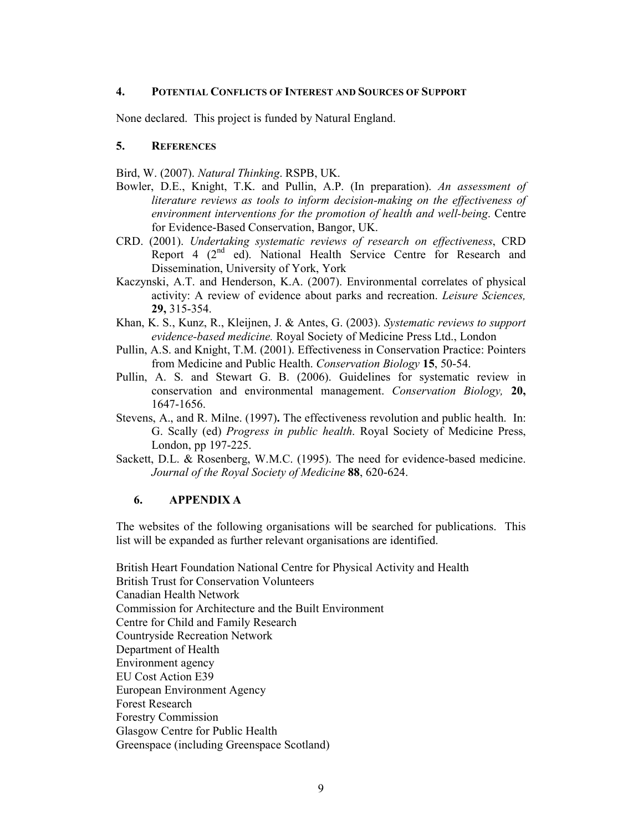#### 4. POTENTIAL CONFLICTS OF INTEREST AND SOURCES OF SUPPORT

None declared. This project is funded by Natural England.

#### 5. REFERENCES

Bird, W. (2007). Natural Thinking. RSPB, UK.

- Bowler, D.E., Knight, T.K. and Pullin, A.P. (In preparation). An assessment of literature reviews as tools to inform decision-making on the effectiveness of environment interventions for the promotion of health and well-being. Centre for Evidence-Based Conservation, Bangor, UK.
- CRD. (2001). Undertaking systematic reviews of research on effectiveness, CRD Report 4 (2<sup>nd</sup> ed). National Health Service Centre for Research and Dissemination, University of York, York
- Kaczynski, A.T. and Henderson, K.A. (2007). Environmental correlates of physical activity: A review of evidence about parks and recreation. Leisure Sciences, 29, 315-354.
- Khan, K. S., Kunz, R., Kleijnen, J. & Antes, G. (2003). Systematic reviews to support evidence-based medicine. Royal Society of Medicine Press Ltd., London
- Pullin, A.S. and Knight, T.M. (2001). Effectiveness in Conservation Practice: Pointers from Medicine and Public Health. Conservation Biology 15, 50-54.
- Pullin, A. S. and Stewart G. B. (2006). Guidelines for systematic review in conservation and environmental management. Conservation Biology, 20, 1647-1656.
- Stevens, A., and R. Milne. (1997). The effectiveness revolution and public health. In: G. Scally (ed) Progress in public health. Royal Society of Medicine Press, London, pp 197-225.
- Sackett, D.L. & Rosenberg, W.M.C. (1995). The need for evidence-based medicine. Journal of the Royal Society of Medicine 88, 620-624.

#### 6. APPENDIX A

The websites of the following organisations will be searched for publications. This list will be expanded as further relevant organisations are identified.

British Heart Foundation National Centre for Physical Activity and Health British Trust for Conservation Volunteers Canadian Health Network Commission for Architecture and the Built Environment Centre for Child and Family Research Countryside Recreation Network Department of Health Environment agency EU Cost Action E39 European Environment Agency Forest Research Forestry Commission Glasgow Centre for Public Health Greenspace (including Greenspace Scotland)